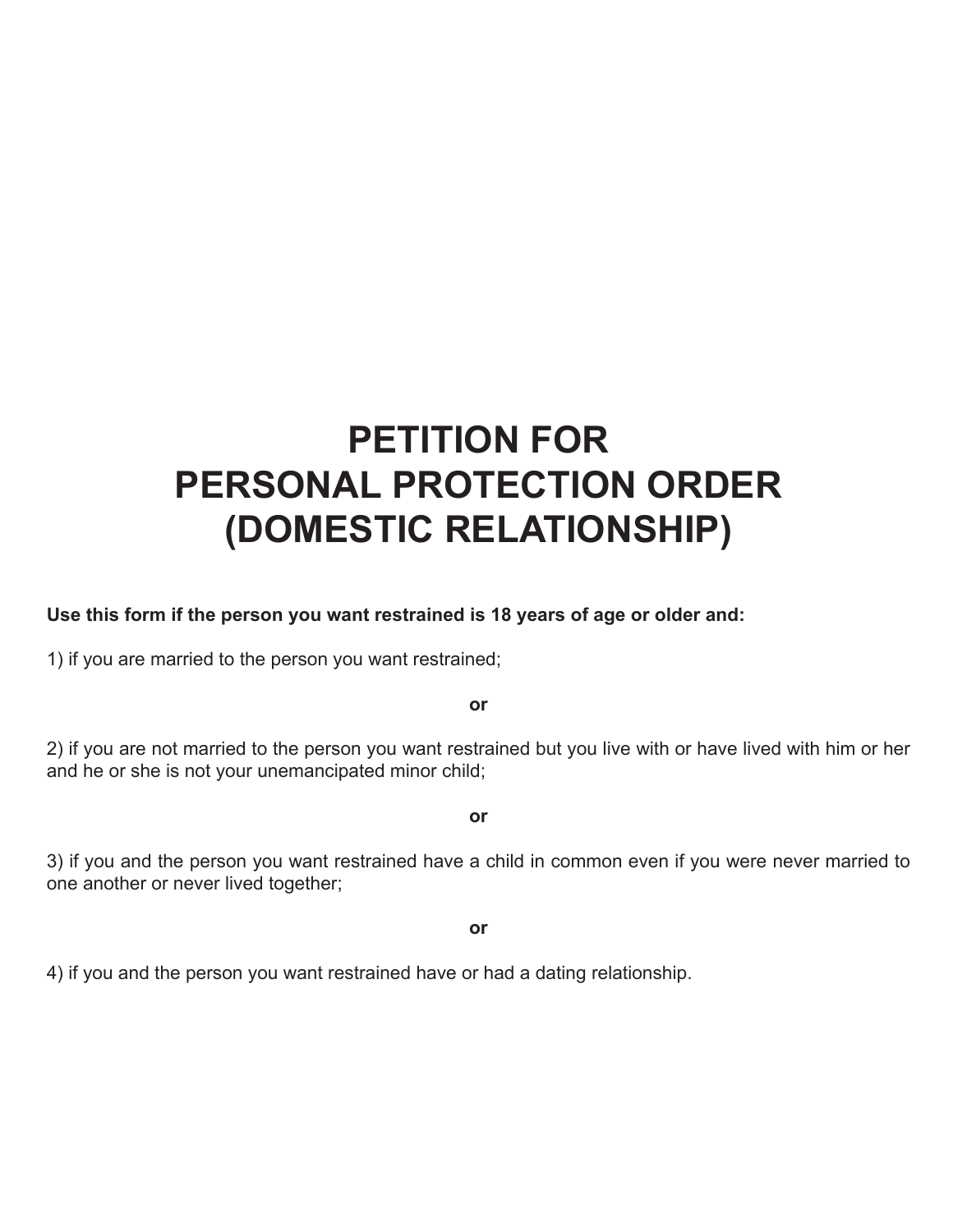# **PETITION FOR PERSONAL PROTECTION ORDER (DOMESTIC RELATIONSHIP)**

## **Use this form if the person you want restrained is 18 years of age or older and:**

1) if you are married to the person you want restrained;

**or**

2) if you are not married to the person you want restrained but you live with or have lived with him or her and he or she is not your unemancipated minor child;

**or**

3) if you and the person you want restrained have a child in common even if you were never married to one another or never lived together;

**or**

4) if you and the person you want restrained have or had a dating relationship.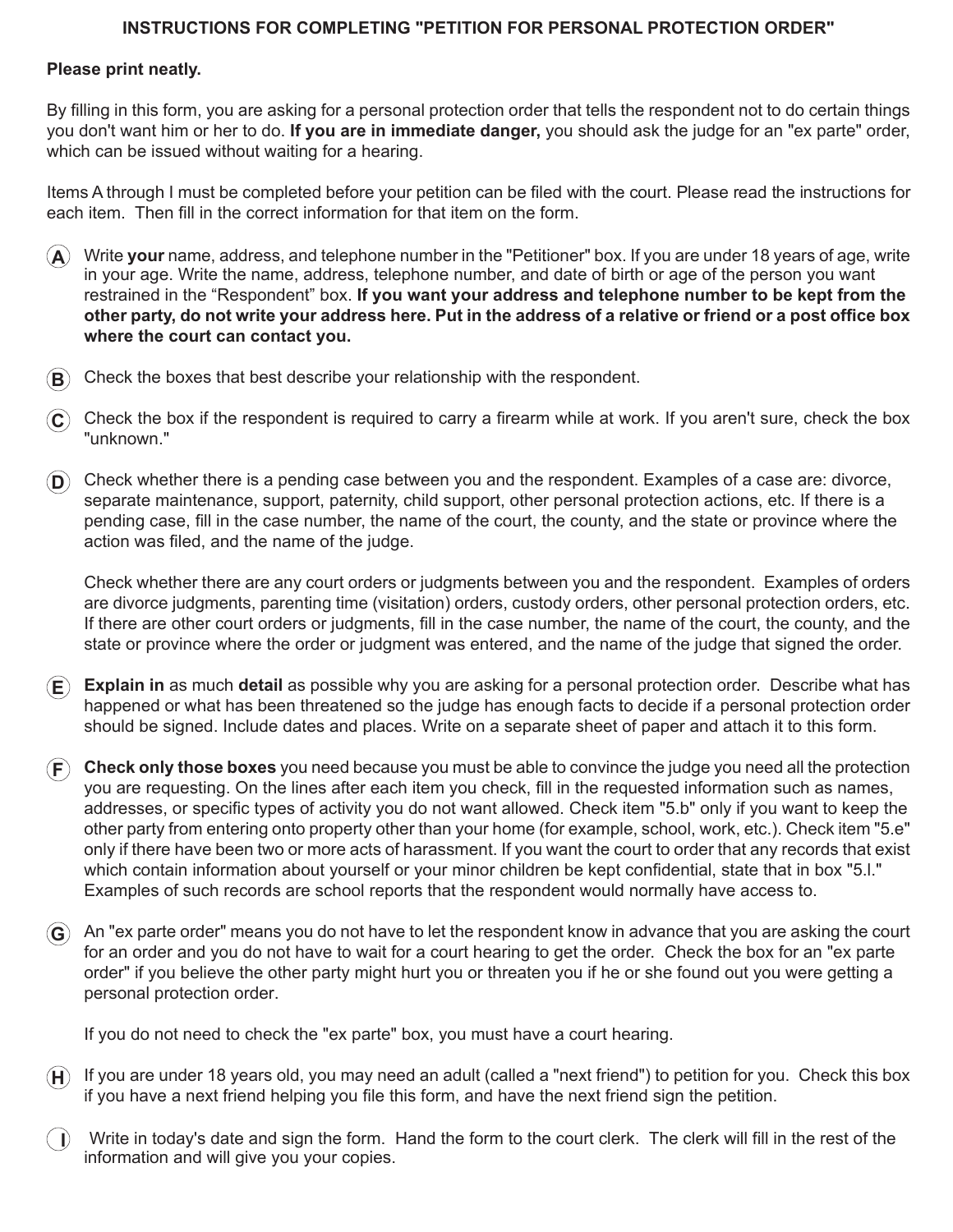#### **INSTRUCTIONS FOR COMPLETING "PETITION FOR PERSONAL PROTECTION ORDER"**

### **Please print neatly.**

By filling in this form, you are asking for a personal protection order that tells the respondent not to do certain things you don't want him or her to do. **If you are in immediate danger,** you should ask the judge for an "ex parte" order, which can be issued without waiting for a hearing.

Items A through I must be completed before your petition can be filed with the court. Please read the instructions for each item. Then fill in the correct information for that item on the form.

- **A** Write **your** name, address, and telephone number in the "Petitioner" box. If you are under 18 years of age, write in your age. Write the name, address, telephone number, and date of birth or age of the person you want restrained in the "Respondent" box. **If you want your address and telephone number to be kept from the other party, do not write your address here. Put in the address of a relative or friend or a post office box where the court can contact you.**
- **B** Check the boxes that best describe your relationship with the respondent.
- $\hat{C}$  Check the box if the respondent is required to carry a firearm while at work. If you aren't sure, check the box "unknown."
- **D** Check whether there is a pending case between you and the respondent. Examples of a case are: divorce, separate maintenance, support, paternity, child support, other personal protection actions, etc. If there is a pending case, fill in the case number, the name of the court, the county, and the state or province where the action was filed, and the name of the judge.

Check whether there are any court orders or judgments between you and the respondent. Examples of orders are divorce judgments, parenting time (visitation) orders, custody orders, other personal protection orders, etc. If there are other court orders or judgments, fill in the case number, the name of the court, the county, and the state or province where the order or judgment was entered, and the name of the judge that signed the order.

- **E Explain in** as much **detail** as possible why you are asking for a personal protection order. Describe what has happened or what has been threatened so the judge has enough facts to decide if a personal protection order should be signed. Include dates and places. Write on a separate sheet of paper and attach it to this form.
- **F Check only those boxes** you need because you must be able to convince the judge you need all the protection you are requesting. On the lines after each item you check, fill in the requested information such as names, addresses, or specific types of activity you do not want allowed. Check item "5.b" only if you want to keep the other party from entering onto property other than your home (for example, school, work, etc.). Check item "5.e" only if there have been two or more acts of harassment. If you want the court to order that any records that exist which contain information about yourself or your minor children be kept confidential, state that in box "5.l." Examples of such records are school reports that the respondent would normally have access to.
- **G** An "ex parte order" means you do not have to let the respondent know in advance that you are asking the court for an order and you do not have to wait for a court hearing to get the order. Check the box for an "ex parte order" if you believe the other party might hurt you or threaten you if he or she found out you were getting a personal protection order.

If you do not need to check the "ex parte" box, you must have a court hearing.

- **H** If you are under 18 years old, you may need an adult (called a "next friend") to petition for you. Check this box if you have a next friend helping you file this form, and have the next friend sign the petition.
- **I** Write in today's date and sign the form. Hand the form to the court clerk. The clerk will fill in the rest of the information and will give you your copies.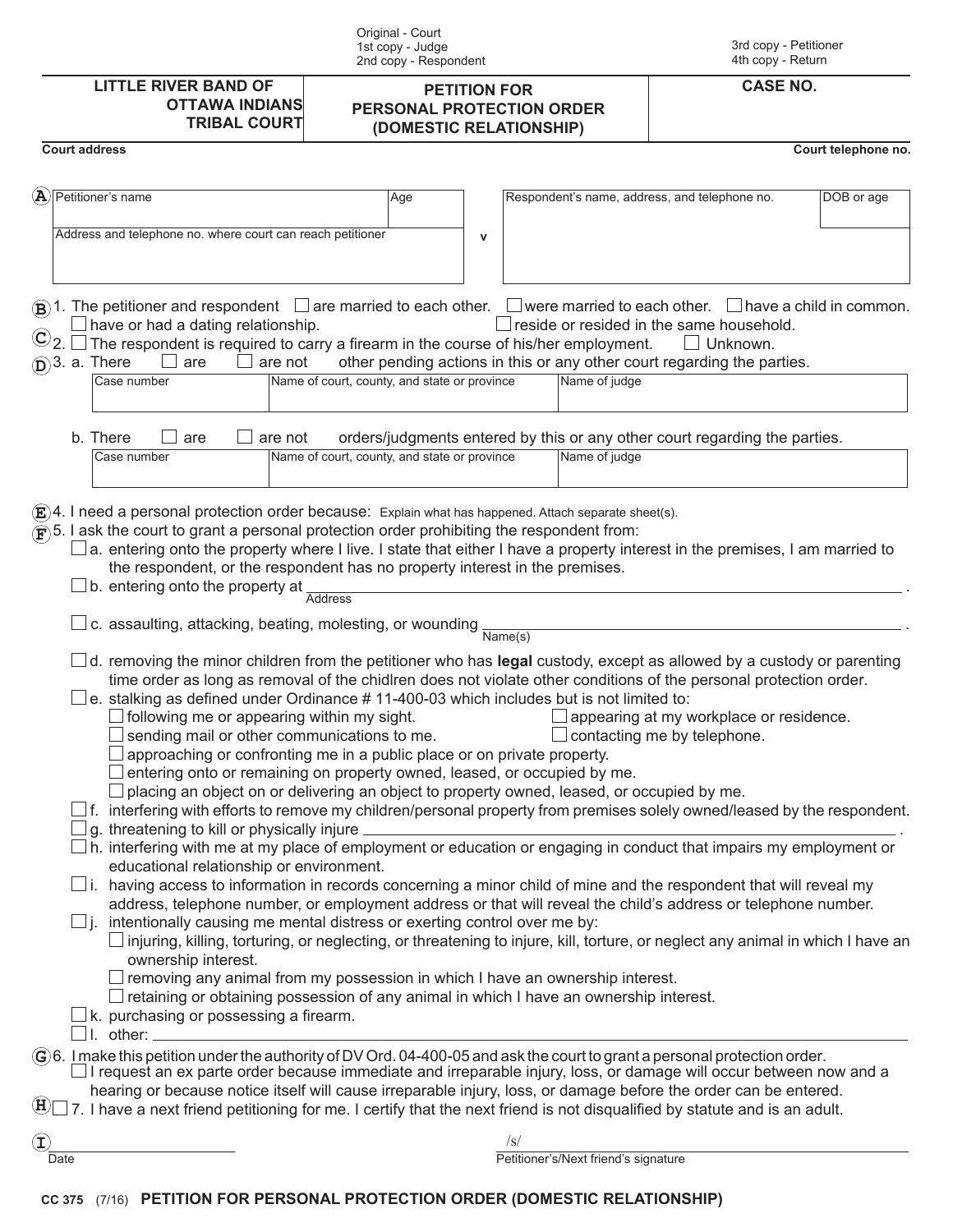| Original - Court<br>1st copy - Judge<br>2nd copy - Respondent                                                                                                                                                                                                                                                                                                                                                                                                                                                                                                                                                                                                                                                                     |                                                                                                                                                                                                                                                                                                                                                                                                                                                                                                                                                                                                                                                                                                                                                                                                                                                                                                                                                                                                                                                                                                                                                                                                                                                                                                                                                                                                                                                                          |                                                                                                                                                                                                                                              | 3rd copy - Petitioner<br>4th copy - Return |  |
|-----------------------------------------------------------------------------------------------------------------------------------------------------------------------------------------------------------------------------------------------------------------------------------------------------------------------------------------------------------------------------------------------------------------------------------------------------------------------------------------------------------------------------------------------------------------------------------------------------------------------------------------------------------------------------------------------------------------------------------|--------------------------------------------------------------------------------------------------------------------------------------------------------------------------------------------------------------------------------------------------------------------------------------------------------------------------------------------------------------------------------------------------------------------------------------------------------------------------------------------------------------------------------------------------------------------------------------------------------------------------------------------------------------------------------------------------------------------------------------------------------------------------------------------------------------------------------------------------------------------------------------------------------------------------------------------------------------------------------------------------------------------------------------------------------------------------------------------------------------------------------------------------------------------------------------------------------------------------------------------------------------------------------------------------------------------------------------------------------------------------------------------------------------------------------------------------------------------------|----------------------------------------------------------------------------------------------------------------------------------------------------------------------------------------------------------------------------------------------|--------------------------------------------|--|
| <b>LITTLE RIVER BAND OF</b><br><b>OTTAWA INDIANS</b><br><b>TRIBAL COURT</b>                                                                                                                                                                                                                                                                                                                                                                                                                                                                                                                                                                                                                                                       | <b>PETITION FOR</b><br>PERSONAL PROTECTION ORDER<br>(DOMESTIC RELATIONSHIP)                                                                                                                                                                                                                                                                                                                                                                                                                                                                                                                                                                                                                                                                                                                                                                                                                                                                                                                                                                                                                                                                                                                                                                                                                                                                                                                                                                                              | <b>CASE NO.</b>                                                                                                                                                                                                                              |                                            |  |
| <b>Court address</b>                                                                                                                                                                                                                                                                                                                                                                                                                                                                                                                                                                                                                                                                                                              |                                                                                                                                                                                                                                                                                                                                                                                                                                                                                                                                                                                                                                                                                                                                                                                                                                                                                                                                                                                                                                                                                                                                                                                                                                                                                                                                                                                                                                                                          |                                                                                                                                                                                                                                              | Court telephone no.                        |  |
| $\left( \mathbf{A}\right)$<br>Petitioner's name<br>Address and telephone no. where court can reach petitioner                                                                                                                                                                                                                                                                                                                                                                                                                                                                                                                                                                                                                     | Age<br>$\mathsf{v}$                                                                                                                                                                                                                                                                                                                                                                                                                                                                                                                                                                                                                                                                                                                                                                                                                                                                                                                                                                                                                                                                                                                                                                                                                                                                                                                                                                                                                                                      | Respondent's name, address, and telephone no.                                                                                                                                                                                                | DOB or age                                 |  |
| $\circledR$ )1. The petitioner and respondent $\Box$ are married to each other. $\Box$ were married to each other. $\Box$ have a child in common.<br>have or had a dating relationship.<br>$\odot$ <sub>2.</sub><br>$(D)$ 3. a. There<br>are<br>are not<br>Case number<br>b. There<br>are not<br>are                                                                                                                                                                                                                                                                                                                                                                                                                              | $\exists$ The respondent is required to carry a firearm in the course of his/her employment.<br>Name of court, county, and state or province                                                                                                                                                                                                                                                                                                                                                                                                                                                                                                                                                                                                                                                                                                                                                                                                                                                                                                                                                                                                                                                                                                                                                                                                                                                                                                                             | $\Box$ reside or resided in the same household.<br>$\Box$ Unknown.<br>other pending actions in this or any other court regarding the parties.<br>Name of judge<br>orders/judgments entered by this or any other court regarding the parties. |                                            |  |
| Case number                                                                                                                                                                                                                                                                                                                                                                                                                                                                                                                                                                                                                                                                                                                       | Name of court, county, and state or province                                                                                                                                                                                                                                                                                                                                                                                                                                                                                                                                                                                                                                                                                                                                                                                                                                                                                                                                                                                                                                                                                                                                                                                                                                                                                                                                                                                                                             | Name of judge                                                                                                                                                                                                                                |                                            |  |
| $\mathbf{F}$ 5. I ask the court to grant a personal protection order prohibiting the respondent from:<br>b. entering onto the property at<br>c. assaulting, attacking, beating, molesting, or wounding $\frac{1}{\text{Name(s)}}$<br>following me or appearing within my sight.<br>$\Box$ sending mail or other communications to me.<br>$\perp$ f. interfering with efforts to remove my children/personal property from premises solely owned/leased by the respondent.<br>g. threatening to kill or physically injure _<br>educational relationship or environment.<br>$\Box$ i. having access to information in records concerning a minor child of mine and the respondent that will reveal my<br>Шi.<br>ownership interest. | a. entering onto the property where I live. I state that either I have a property interest in the premises, I am married to<br>the respondent, or the respondent has no property interest in the premises.<br>Address<br>d. removing the minor children from the petitioner who has legal custody, except as allowed by a custody or parenting<br>time order as long as removal of the chidlren does not violate other conditions of the personal protection order.<br>e. stalking as defined under Ordinance #11-400-03 which includes but is not limited to:<br>approaching or confronting me in a public place or on private property.<br>entering onto or remaining on property owned, leased, or occupied by me.<br>placing an object on or delivering an object to property owned, leased, or occupied by me.<br>h. interfering with me at my place of employment or education or engaging in conduct that impairs my employment or<br>address, telephone number, or employment address or that will reveal the child's address or telephone number.<br>intentionally causing me mental distress or exerting control over me by:<br>$\Box$ injuring, killing, torturing, or neglecting, or threatening to injure, kill, torture, or neglect any animal in which I have an<br>$\Box$ removing any animal from my possession in which I have an ownership interest.<br>$\Box$ retaining or obtaining possession of any animal in which I have an ownership interest. | appearing at my workplace or residence<br>$\Box$ contacting me by telephone.                                                                                                                                                                 |                                            |  |
| k. purchasing or possessing a firearm.<br>$\Box$ I. $\,$ other: $\_\_$<br>$\hat{G}$ 6. I make this petition under the authority of DV Ord. 04-400-05 and ask the court to grant a personal protection order.                                                                                                                                                                                                                                                                                                                                                                                                                                                                                                                      |                                                                                                                                                                                                                                                                                                                                                                                                                                                                                                                                                                                                                                                                                                                                                                                                                                                                                                                                                                                                                                                                                                                                                                                                                                                                                                                                                                                                                                                                          |                                                                                                                                                                                                                                              |                                            |  |
| $\Box$ I request an ex parte order because immediate and irreparable injury, loss, or damage will occur between now and a<br>$\textcircled{\textsc{H}}$ 7. I have a next friend petitioning for me. I certify that the next friend is not disqualified by statute and is an adult.                                                                                                                                                                                                                                                                                                                                                                                                                                                | hearing or because notice itself will cause irreparable injury, loss, or damage before the order can be entered.                                                                                                                                                                                                                                                                                                                                                                                                                                                                                                                                                                                                                                                                                                                                                                                                                                                                                                                                                                                                                                                                                                                                                                                                                                                                                                                                                         |                                                                                                                                                                                                                                              |                                            |  |
| $\left( \mathbf{I}\right)$<br>Date                                                                                                                                                                                                                                                                                                                                                                                                                                                                                                                                                                                                                                                                                                | $\sqrt{s}$                                                                                                                                                                                                                                                                                                                                                                                                                                                                                                                                                                                                                                                                                                                                                                                                                                                                                                                                                                                                                                                                                                                                                                                                                                                                                                                                                                                                                                                               | Petitioner's/Next friend's signature                                                                                                                                                                                                         |                                            |  |